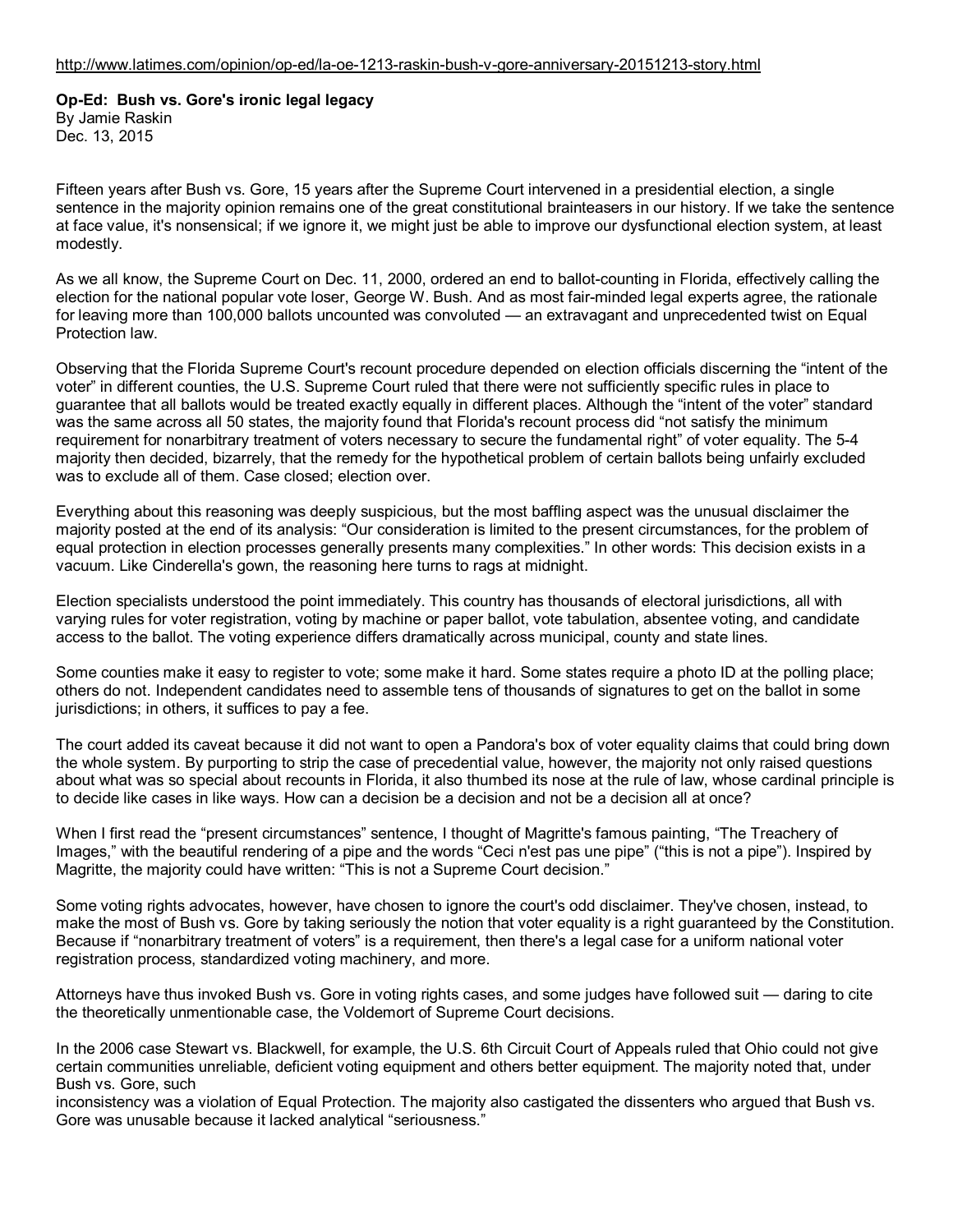## **Op-Ed: Bush vs. Gore's ironic legal legacy**

By Jamie Raskin Dec. 13, 2015

Fifteen years after Bush vs. Gore, 15 years after the Supreme Court intervened in a presidential election, a single sentence in the majority opinion remains one of the great constitutional brainteasers in our history. If we take the sentence at face value, it's nonsensical; if we ignore it, we might just be able to improve our dysfunctional election system, at least modestly.

As we all know, the Supreme Court on Dec. 11, 2000, ordered an end to ballot-counting in Florida, effectively calling the election for the national popular vote loser, George W. Bush. And as most fair-minded legal experts agree, the rationale for leaving more than 100,000 ballots uncounted was convoluted — an extravagant and unprecedented twist on Equal Protection law.

Observing that the Florida Supreme Court's recount procedure depended on election officials discerning the "intent of the voter" in different counties, the U.S. Supreme Court ruled that there were not sufficiently specific rules in place to guarantee that all ballots would be treated exactly equally in different places. Although the "intent of the voter" standard was the same across all 50 states, the majority found that Florida's recount process did "not satisfy the minimum requirement for nonarbitrary treatment of voters necessary to secure the fundamental right" of voter equality. The 5-4 majority then decided, bizarrely, that the remedy for the hypothetical problem of certain ballots being unfairly excluded was to exclude all of them. Case closed; election over.

Everything about this reasoning was deeply suspicious, but the most baffling aspect was the unusual disclaimer the majority posted at the end of its analysis: "Our consideration is limited to the present circumstances, for the problem of equal protection in election processes generally presents many complexities." In other words: This decision exists in a vacuum. Like Cinderella's gown, the reasoning here turns to rags at midnight.

Election specialists understood the point immediately. This country has thousands of electoral jurisdictions, all with varying rules for voter registration, voting by machine or paper ballot, vote tabulation, absentee voting, and candidate access to the ballot. The voting experience differs dramatically across municipal, county and state lines.

Some counties make it easy to register to vote; some make it hard. Some states require a photo ID at the polling place; others do not. Independent candidates need to assemble tens of thousands of signatures to get on the ballot in some jurisdictions; in others, it suffices to pay a fee.

The court added its caveat because it did not want to open a Pandora's box of voter equality claims that could bring down the whole system. By purporting to strip the case of precedential value, however, the majority not only raised questions about what was so special about recounts in Florida, it also thumbed its nose at the rule of law, whose cardinal principle is to decide like cases in like ways. How can a decision be a decision and not be a decision all at once?

When I first read the "present circumstances" sentence, I thought of Magritte's famous painting, "The Treachery of Images," with the beautiful rendering of a pipe and the words "Ceci n'est pas une pipe" ("this is not a pipe"). Inspired by Magritte, the majority could have written: "This is not a Supreme Court decision."

Some voting rights advocates, however, have chosen to ignore the court's odd disclaimer. They've chosen, instead, to make the most of Bush vs. Gore by taking seriously the notion that voter equality is a right guaranteed by the Constitution. Because if "nonarbitrary treatment of voters" is a requirement, then there's a legal case for a uniform national voter registration process, standardized voting machinery, and more.

Attorneys have thus invoked Bush vs. Gore in voting rights cases, and some judges have followed suit — daring to cite the theoretically unmentionable case, the Voldemort of Supreme Court decisions.

In the 2006 case Stewart vs. Blackwell, for example, the U.S. 6th Circuit Court of Appeals ruled that Ohio could not give certain communities unreliable, deficient voting equipment and others better equipment. The majority noted that, under Bush vs. Gore, such

inconsistency was a violation of Equal Protection. The majority also castigated the dissenters who argued that Bush vs. Gore was unusable because it lacked analytical "seriousness."